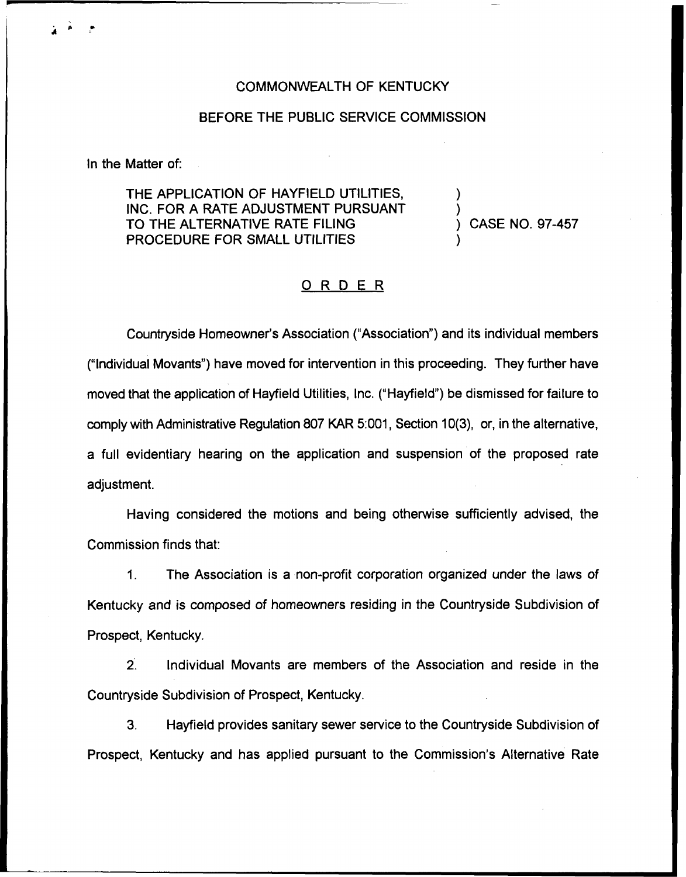#### COMMONWEALTH OF KENTUCKY

### BEFORE THE PUBLIC SERVICE COMMISSION

In the Matter of:

THE APPLICATION OF HAYFIELD UTILITIES, INC. FOR A RATE ADJUSTMENT PURSUANT TO THE ALTERNATIVE RATE FILING PROCEDURE FOR SMALL UTILITIES

) CASE NO. 97-457

) )

)

# ORDER

Countryside Homeowner's Association ("Association" ) and its individual members ("Individual Movants") have moved for intervention in this proceeding. They further have moved that the application of Hayfield Utilities, Inc. ("Hayfield" ) be dismissed for failure to comply with Administrative Regulation 807 KAR 5:003, Section 10(3), or, in the alternative, a full evidentiary hearing on the application and suspension of the proposed rate adjustment.

Having considered the motions and being otherwise sufficiently advised, the Commission finds that:

1. The Association is a non-profit corporation organized under the laws of Kentucky and is composed of homeowners residing in the Countryside Subdivision of Prospect, Kentucky.

2. Individual Movants are members of the Association and reside in the Countryside Subdivision of Prospect, Kentucky.

3. Hayfield provides sanitary sewer service to the Countryside Subdivision of Prospect, Kentucky and has applied pursuant to the Commission's Alternative Rate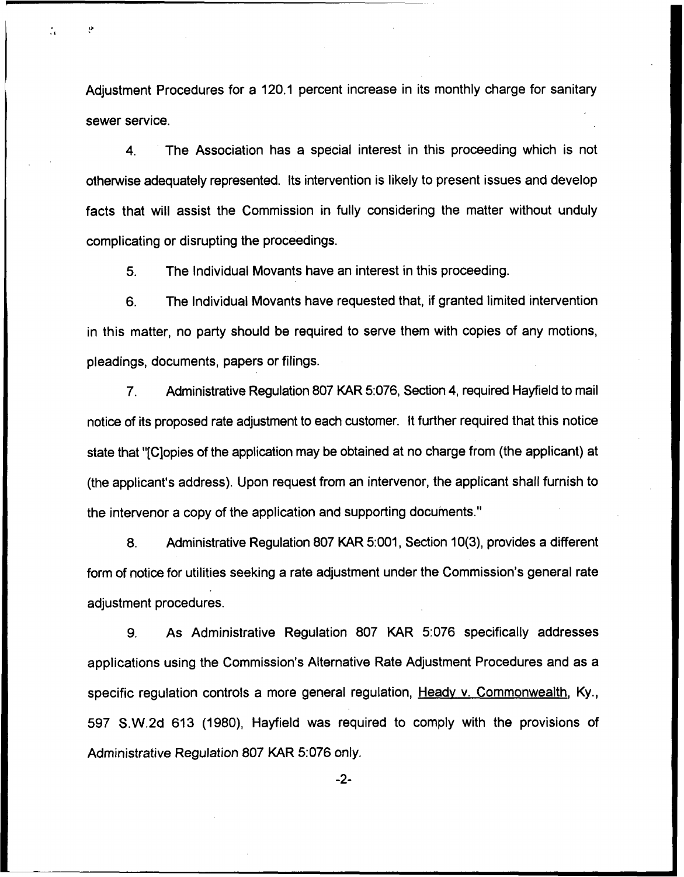Adjustment Procedures for a 120.1 percent increase in its monthly charge for sanitary sewer service.

 $\ddot{\cdot}$ 

4. The Association has a special interest in this proceeding which is not otherwise adequately represented. Its intervention is likely to present issues and develop facts that will assist the Commission in fully considering the matter without unduly complicating or disrupting the proceedings.

5. The Individual Movants have an interest in this proceeding.

6. The Individual Movants have requested that, if granted limited intervention in this matter, no party should be required to serve them with copies of any motions, pleadings, documents, papers or filings.

7. Administrative Regulation 807 KAR 5:076, Section 4, required Hayfield to mail notice of its proposed rate adjustment to each customer. It further required that this notice state that "[C]opies of the application may be obtained at no charge from (the applicant) at (the applicant's address). Upon request from an intervenor, the applicant shall furnish to the intervenor a copy of the application and supporting documents."

8. Administrative Regulation 807 KAR 5:001, Section 10(3), provides a different form of notice for utilities seeking a rate adjustment under the Commission's general rate adjustment procedures.

9. As Administrative Regulation 807 KAR 5:076 specifically addresses applications using the Commission's Alternative Rate Adjustment Procedures and as a specific regulation controls a more general regulation, Heady v. Commonwealth, Ky., 597 S.W.2d 613 (1980), Hayfield was required to comply with the provisions of Administrative Regulation 807 KAR 5:076 only.

 $-2-$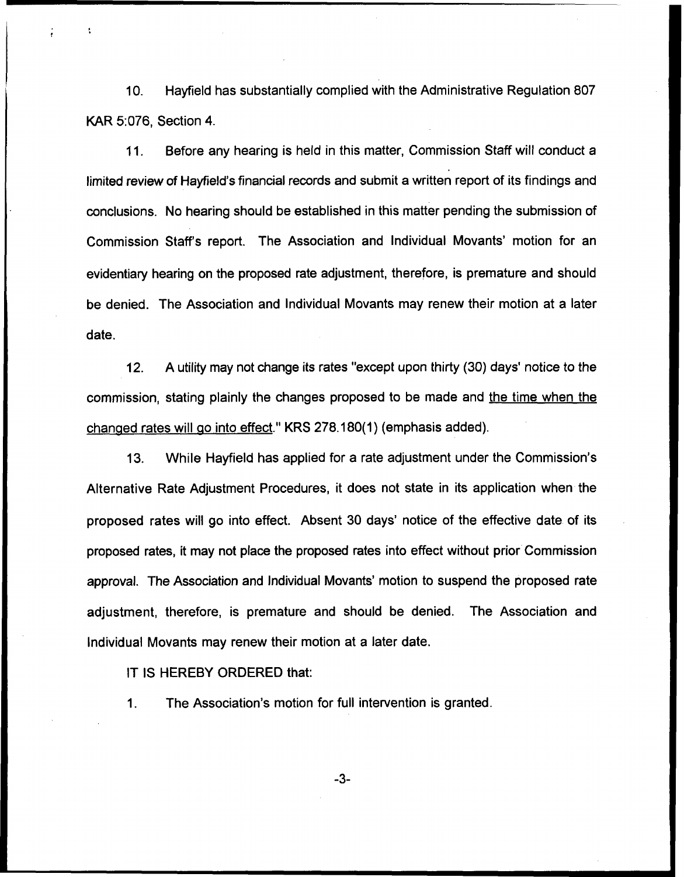10. Hayfield has substantially complied with the Administrative Regulation 807 KAR 5:076, Section 4.

11. Before any hearing is held in this matter, Commission Staff will conduct a limited review of Hayfield's financial records and submit a written report of its findings and conclusions. No hearing should be established in this matter pending the submission of Commission Staff's report. The Association and Individual Movants' motion for an evidentiary hearing on the proposed rate adjustment, therefore, is premature and should be denied. The Association and Individual Movants may renew their motion at a later date.

12. A utility may not change its rates "except upon thirty (30) days' notice to the commission, stating plainly the changes proposed to be made and the time when the changed rates will go into effect." KRS 278.180(1) (emphasis added).

13. While Hayfield has applied for a rate adjustment under the Commission's Alternative Rate Adjustment Procedures, it does not state in its application when the proposed rates will go into effect. Absent 30 days' notice of the effective date of its proposed rates, it may not place the proposed rates into effect without prior Commission approval. The Association and Individual Movants' motion to suspend the proposed rate adjustment, therefore, is premature and should be denied. The Association and Individual Movants may renew their motion at a later date.

IT IS HEREBY ORDERED that:

1. The Association's motion for full intervention is granted.

-3-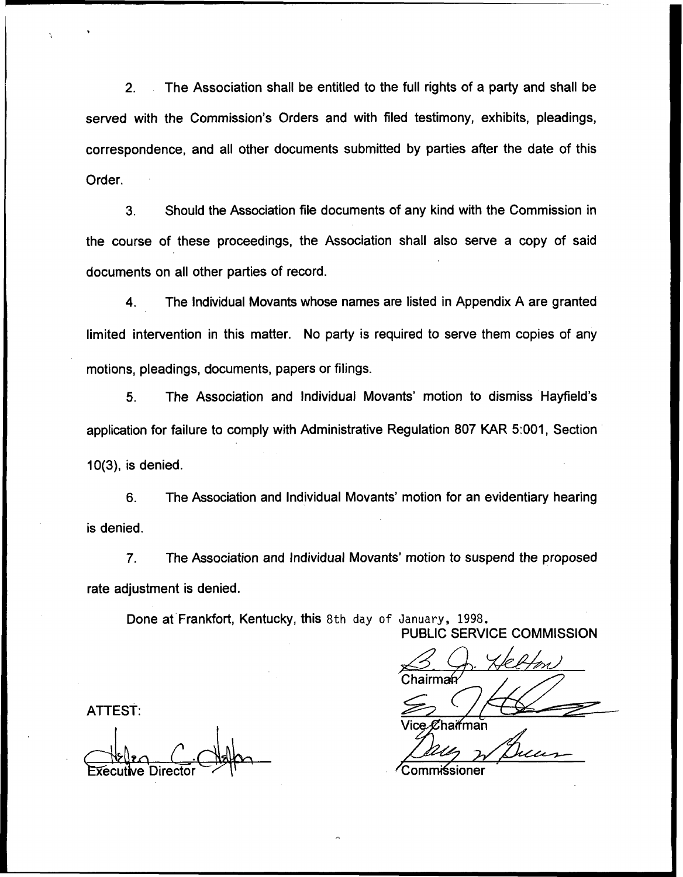2. The Association shall be entitled to the full rights of a party and shall be served with the Commission's Orders and with filed testimony, exhibits, pleadings, correspondence, and all other documents submitted by parties after the date of this Order.

3. Should the Association file documents of any kind with the Commission in the course of these proceedings, the Association shall also serve a copy of said documents on all other parties of record.

4. The Individual Movants whose names are listed in Appendix A are granted limited intervention in this matter. No party is required to serve them copies of any motions, pleadings, documents, papers or filings.

5. The Association and Individual Movants' motion to dismiss Hayfield's application for failure to comply with Administrative Regulation 807 KAR 5:001, Section 10(3), is denied.

6. The Association and Individual Movants' motion for an evidentiary hearing is denied.

7. The Association and Individual Movants' motion to suspend the proposed rate adjustment is denied.

Done at Frankfort, Kentucky, this 8th day of January, 1998.

PUBLIC SERVICE COMMISSION<br>
S. J. Helfon<br>
Chairman

ˈice.**ℒ**haifman

**ATTEST:** 

xecut4e Director ~ComMsioner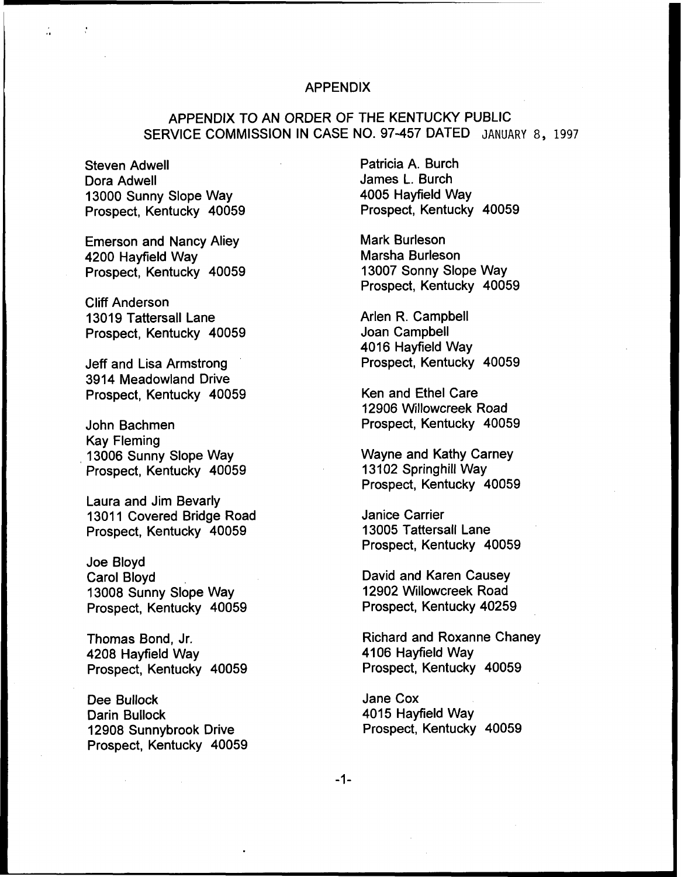#### APPENDIX

# APPENDIX TO AN ORDER OF THE KENTUCKY PUBLIC SERVICE COMMISSION IN CASE NO. 97-457 DATED JANUARY 8, 1997

Steven Adwell Dora Adwell 13000 Sunny Slope Way Prospect, Kentucky 40059

Emerson and Nancy Aliey 4200 Hayfield Way Prospect, Kentucky 40059

Cliff Anderson 13019 Tattersall Lane Prospect, Kentucky 40059

Jeff and Lisa Armstrong 3914 Meadowland Drive Prospect, Kentucky 40059

John Bachmen Kay Fleming 13006 Sunny Slope Way Prospect, Kentucky 40059

Laura and Jim Bevarly 13011 Covered Bridge Road Prospect, Kentucky 40059

Joe Bloyd Carol Bloyd 13008 Sunny Slope Way Prospect, Kentucky 40059

Thomas Bond, Jr. 4208 Hayfield Way Prospect, Kentucky 40059

Dee Bullock Darin Bullock 12908 Sunnybrook Drive Prospect, Kentucky 40059 Patricia A. Burch James L. Burch 4005 Hayfield Way Prospect, Kentucky 40059

Mark Burleson Marsha Burleson 13007 Sonny Slope Way Prospect, Kentucky 40059

Arlen R. Campbell Joan Campbell 4016 Hayfield Way Prospect, Kentucky 40059

Ken and Ethel Care 12906 Willowcreek Road Prospect, Kentucky 40059

Wayne and Kathy Carney 13102 Springhill Way Prospect, Kentucky 40059

Janice Carrier 13005 Tattersall Lane Prospect, Kentucky 40059

David and Karen Causey 12902 Willowcreek Road Prospect, Kentucky 40259

Richard and Roxanne Chancy 4106 Hayfield Way Prospect, Kentucky 40059

Jane Cox 4015 Hayfield Way Prospect, Kentucky 40059

 $-1-$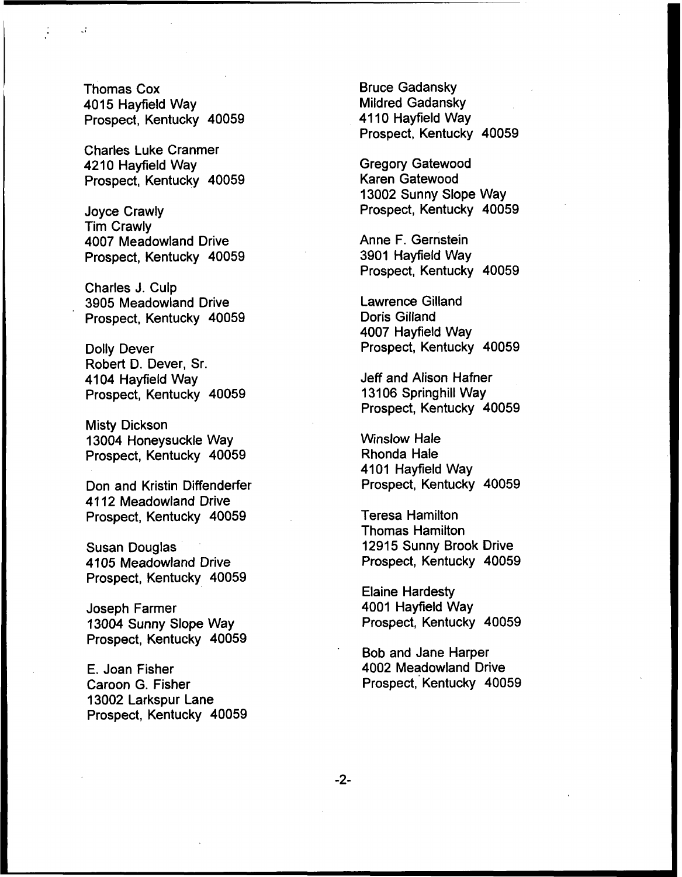Thomas Cox 4015 Hayfield Way Prospect, Kentucky 40059

Charles Luke Cranme 4210 Hayfield Way Prospect, Kentucky 40059

Joyce Crawly Tim Crawly 4007 Meadowland Drive Prospect, Kentucky 40059

Charles J. Culp 3905 Meadowland Drive Prospect, Kentucky 40059

Dolly Dever Robert D. Dever, Sr. 4104 Hayfield Way Prospect, Kentucky 40059

Misty Dickson 13004 Honeysuckle Way Prospect, Kentucky 40059

Don and Kristin Diffenderfer 4112 Meadowland Drive Prospect, Kentucky 40059

Susan Douglas 4105 Meadowland Drive Prospect, Kentucky 40059

Joseph Farmer 13004 Sunny Slope Way Prospect, Kentucky 40059

E. Joan Fisher Caroon G. Fisher 13002 Larkspur Lane Prospect, Kentucky 40059 Bruce Gadansky Mildred Gadansky 4110 Hayfield Way Prospect, Kentucky 40059

Gregory Gatewood Karen Gatewood 13002 Sunny Slope Way Prospect, Kentucky 40059

Anne F. Gernstein 3901 Hayfield Way Prospect, Kentucky 40059

Lawrence Gilland Doris Gilland 4007 Hayfield Way Prospect, Kentucky 40059

Jeff and Alison Hafner 13106 Springhill Way Prospect, Kentucky 40059

Winslow Hale Rhonda Hale 4101 Hayfield Way Prospect, Kentucky 40059

Teresa Hamilton Thomas Hamilton 12915 Sunny Brook Drive Prospect, Kentucky 40059

Elaine Hardesty 4001 Hayfield Way Prospect, Kentucky 40059

Bob and Jane Harper 4002 Meadowland Drive Prospect, Kentucky 40059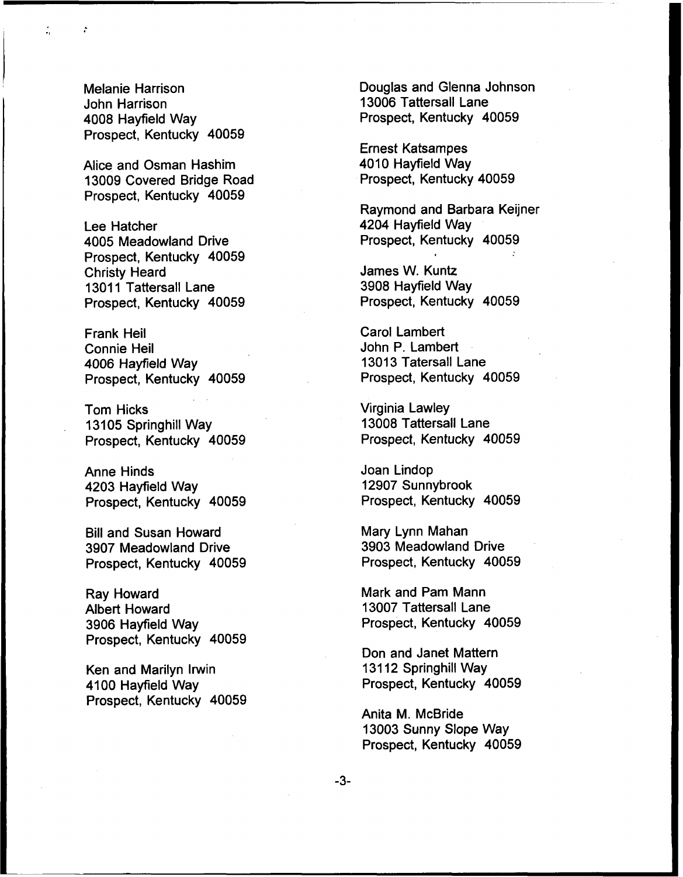Melanie Harrison John Harrison 4008 Hayfield Way Prospect, Kentucky 40059

Alice and Osman Hashim 13009 Covered Bridge Road Prospect, Kentucky 40059

Lee Hatcher 4005 Meadowland Drive Prospect, Kentucky 40059 Christy Heard 13011 Tattersall Lane Prospect, Kentucky 40059

Frank Heil Connie Heil 4006 Hayfield Way Prospect, Kentucky 40059

Tom Hicks 13105 Springhill Way Prospect, Kentucky 40059

Anne Hinds 4203 Hayfield Way Prospect, Kentucky 40059

Bill and Susan Howard 3907 Meadowland Drive Prospect, Kentucky 40059

Ray Howard Albert Howard 3906 Hayfield Way Prospect, Kentucky 40059

Ken and Marilyn Irwin 4100 Hayfield Way Prospect, Kentucky 40059 Douglas and Glenna Johnson 13006 Tattersall Lane Prospect, Kentucky 40059

Ernest Katsampes 4010 Hayfield Way Prospect, Kentucky 40059

Raymond and Barbara Keijner 4204 Hayfield Way Prospect, Kentucky 40059

James W. Kuntz 3908 Hayfield Way Prospect, Kentucky 40059

Carol Lambert John P. Lambert 13013 Tatersall Lane Prospect, Kentucky 40059

Virginia Lawley 13008 Tattersall Lane Prospect, Kentucky 40059

Joan Lindop 12907 Sunnybrook Prospect, Kentucky 40059

Mary Lynn Mahan 3903 Meadowland Drive Prospect, Kentucky 40059

Mark and Pam Mann 13007 Tattersall Lane Prospect, Kentucky 40059

Don and Janet Mattern 13112 Springhill Way Prospect, Kentucky 40059

Anita M. McBride 13003 Sunny Slope Way Prospect, Kentucky 40059

-3-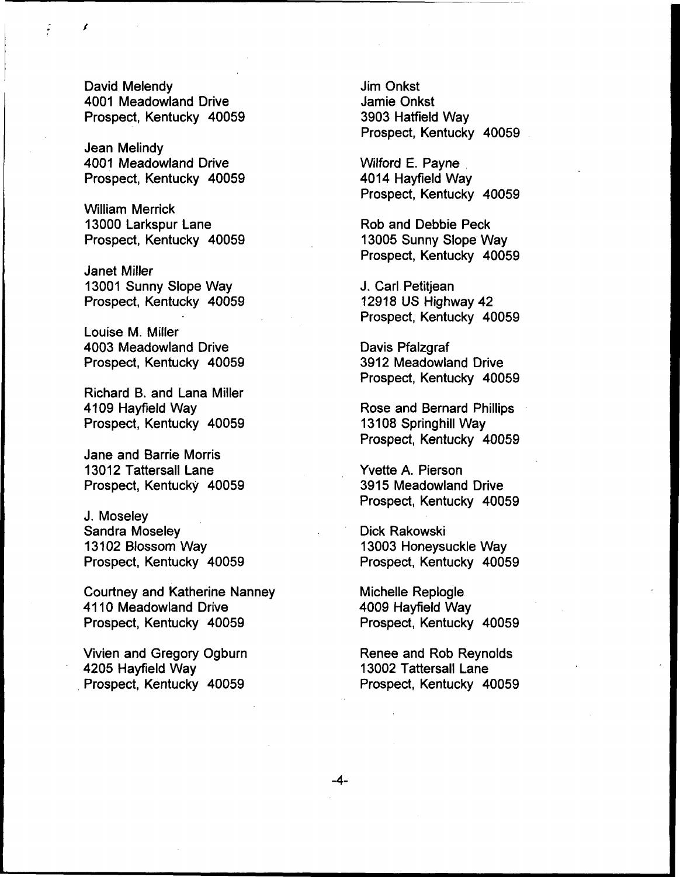David Melendy 4001 Meadowland Drive Prospect, Kentucky 40059

Jean Melindy 4001 Meadowland Drive Prospect, Kentucky 40059

William Merrick 13000 Larkspur Lane Prospect, Kentucky 40059

Janet Miller 13001 Sunny Slope Way Prospect, Kentucky 40059

Louise M. Miller 4003 Meadowland Drive Prospect, Kentucky 40059

Richard B. and Lana Miller 4109 Hayfield Way Prospect, Kentucky 40059

Jane and Barrie Morris 13012 Tattersall Lane Prospect, Kentucky 40059

J. Moseley Sandra Moseley 13102 Blossom Way Prospect, Kentucky 40059

Courtney and Katherine Nanney 4110 Meadowland Drive Prospect, Kentucky 40059

Vivien and Gregory Ogburn 4205 Hayfield Way Prospect, Kentucky 40059

Jim Onkst Jamie Onkst 3903 Hatfield Way Prospect, Kentucky 40059

Wilford E. Payne 4014 Hayfield Way Prospect, Kentucky 40059

Rob and Debbie Peck 13005 Sunny Slope Way Prospect, Kentucky 40059

J. Carl Petitjean 12918 US Highway 42 Prospect, Kentucky 40059

Davis Pfalzgraf 3912 Meadowland Drive Prospect, Kentucky 40059

Rose and Bernard Phillips 13108 Springhill Way Prospect, Kentucky 40059

Vvette A. Pierson 3915 Meadowland Drive Prospect, Kentucky 40059

Dick Rakowski 13003 Honeysuckle Way Prospect, Kentucky 40059

Michelle Replogle 4009 Hayfield Way Prospect, Kentucky 40059

Renee and Rob Reynolds 13002 Tattersall Lane Prospect, Kentucky 40059

 $-4-$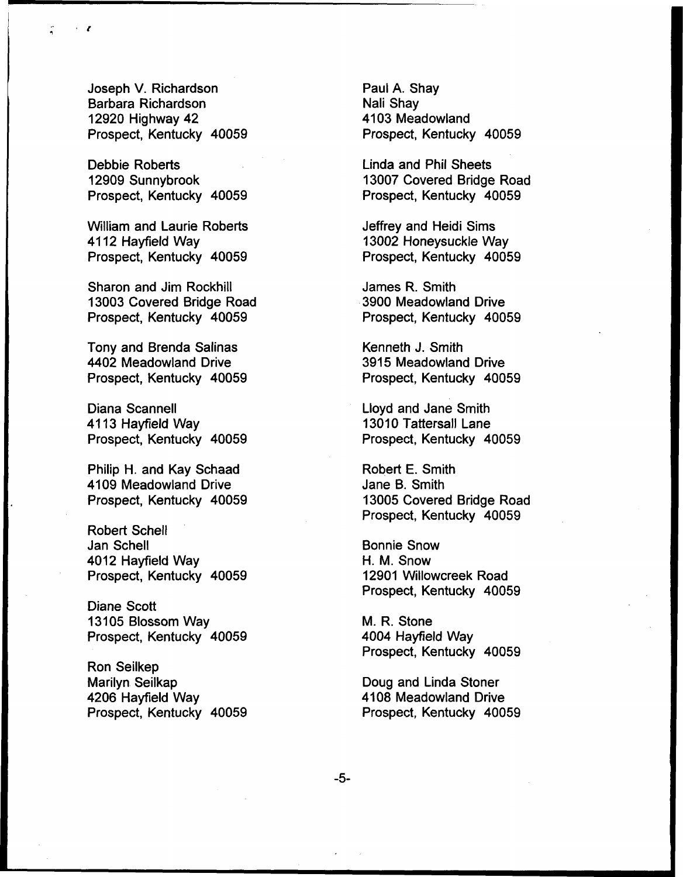Joseph V. Richardson Barbara Richardson 12920 Highway 42 Prospect, Kentucky 40059

Debbie Roberts 12909 Sunnybrook Prospect, Kentucky 40059

William and Laurie Roberts 4112 Hayfield Way Prospect, Kentucky 40059

Sharon and Jim Rockhill 13003 Covered Bridge Road Prospect, Kentucky 40059

Tony and Brenda Salinas 4402 Meadowland Drive Prospect, Kentucky 40059

Diana Scannell 4113 Hayfield Way Prospect, Kentucky 40059

Philip H. and Kay Schaad 4109 Meadowland Drive Prospect, Kentucky 40059

Robert Schell Jan Schell 4012 Hayfield Way Prospect, Kentucky 40059

Diane Scott 13105 Blossom Way Prospect, Kentucky 40059

Ron Seilkep Marilyn Seilkap 4206 Hayfield Way Prospect, Kentucky 40059 Paul A. Shay Nali Shay 4103 Meadowland Prospect, Kentucky 40059

Linda and Phil Sheets 13007 Covered Bridge Road Prospect, Kentucky 40059

Jeffrey and Heidi Sims 13002 Honeysuckle Way Prospect, Kentucky 40059

James R. Smith 3900 Meadowland Drive Prospect, Kentucky 40059

Kenneth J. Smith 3915 Meadowland Drive Prospect, Kentucky 40059

Lloyd and Jane Smith 13010 Tattersall Lane Prospect, Kentucky 40059

Robert E. Smith Jane B. Smith 13005 Covered Bridge Road Prospect, Kentucky 40059

Bonnie Snow H. M. Snow 12901 Willowcreek Road Prospect, Kentucky 40059

M. R. Stone 4004 Hayfield Way Prospect, Kentucky 40059

Doug and Linda Stoner 4108 Meadowland Drive Prospect, Kentucky 40059